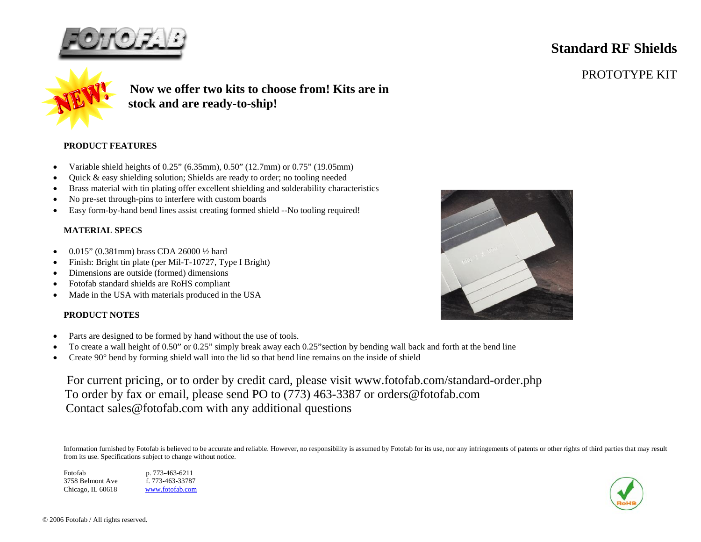

# **Standard RF Shields**

PROTOTYPE KIT



**Now we offer two kits to choose from! Kits are in stock and are ready-to-ship!** 

### **PRODUCT FEATURES**

- •Variable shield heights of 0.25" (6.35mm), 0.50" (12.7mm) or 0.75" (19.05mm)
- •Quick & easy shielding solution; Shields are ready to order; no tooling needed
- •Brass material with tin plating offer excellent shielding and solderability characteristics
- •No pre-set through-pins to interfere with custom boards
- •Easy form-by-hand bend lines assist creating formed shield --No tooling required!

#### **MATERIAL SPECS**

- •0.015" (0.381mm) brass CDA 26000 ½ hard
- •Finish: Bright tin plate (per Mil-T-10727, Type I Bright)
- •Dimensions are outside (formed) dimensions
- •Fotofab standard shields are RoHS compliant
- •Made in the USA with materials produced in the USA

#### **PRODUCT NOTES**

- •Parts are designed to be formed by hand without the use of tools.
- •To create a wall height of 0.50" or 0.25" simply break away each 0.25"section by bending wall back and forth at the bend line
- •• Create 90° bend by forming shield wall into the lid so that bend line remains on the inside of shield

For current pricing, or to order by credit card, please visit www.fotofab.com/standard-order.php To order by fax or email, please send PO to (773) 463-3387 [or orders@fotofab.co](mailto:orders@fotofab.com)m Contact sales@fotofab.com with an[y additional questions](http://www.fotofab.com/pdf/PO.pdf)

Information furnished by Fotofab is believed to be accurate and reliable. However, no responsibility is assumed by Fotofab for its use, nor any infringements of patents or other rights of third parties that may result from its use. Specifications subject to change without notice.

Fotofab p. 773-463-6211 3758 Belmont Ave f. 773-463-33787Chicago, IL 60618 www.fotofab.com



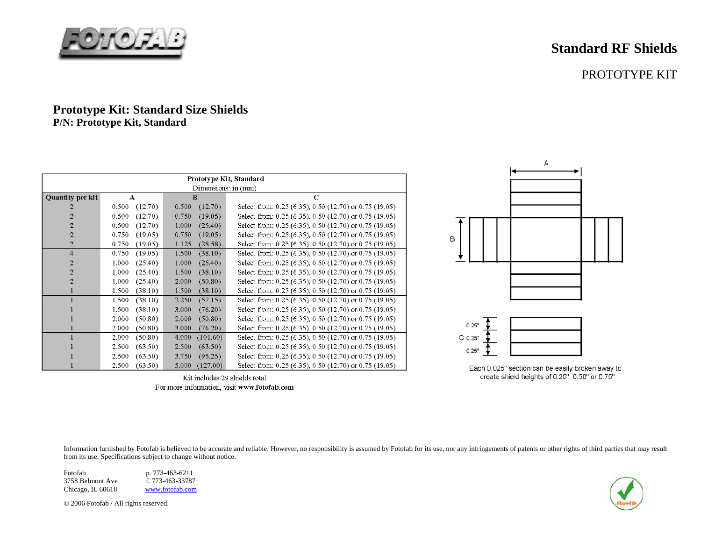

# **Standard RF Shields**

### PROTOTYPE KIT

## **Prototype Kit: Standard Size Shields P/N: Prototype Kit, Standard**

| Prototype Kit, Standard |                  |                   |                                                        |  |
|-------------------------|------------------|-------------------|--------------------------------------------------------|--|
| Dimensions: in (mm)     |                  |                   |                                                        |  |
| Quantity per kit        | А                | B                 | $\mathcal{C}$                                          |  |
|                         | (12.70)<br>0.500 | 0.500<br>(12.70)  | Select from: 0.25 (6.35), 0.50 (12.70) or 0.75 (19.05) |  |
| 2                       | 0.500<br>(12.70) | 0.750<br>(19.05)  | Select from: 0.25 (6.35), 0.50 (12.70) or 0.75 (19.05) |  |
| 2                       | 0.500<br>(12.70) | (25.40)<br>1.000  | Select from: 0.25 (6.35), 0.50 (12.70) or 0.75 (19.05) |  |
| 2                       | 0.750<br>(19.05) | (19.05)<br>0.750  | Select from: 0.25 (6.35), 0.50 (12.70) or 0.75 (19.05) |  |
| $\overline{2}$          | 0.750<br>(19.05) | 1.125<br>(28.58)  | Select from: 0.25 (6.35), 0.50 (12.70) or 0.75 (19.05) |  |
| $\overline{4}$          | 0.750<br>(19.05) | (38.10)<br>1.500  | Select from: 0.25 (6.35), 0.50 (12.70) or 0.75 (19.05) |  |
| 2                       | (25.40)<br>1.000 | (25.40)<br>1.000  | Select from: 0.25 (6.35), 0.50 (12.70) or 0.75 (19.05) |  |
| $\overline{2}$          | 1.000<br>(25.40) | (38.10)<br>1.500  | Select from: 0.25 (6.35), 0.50 (12.70) or 0.75 (19.05) |  |
| $\overline{2}$          | (25.40)<br>1.000 | (50.80)<br>2.000  | Select from: 0.25 (6.35), 0.50 (12.70) or 0.75 (19.05) |  |
|                         | 1.500<br>(38.10) | (38.10)<br>1.500  | Select from: 0.25 (6.35), 0.50 (12.70) or 0.75 (19.05) |  |
|                         | (38.10)<br>1.500 | 2.250<br>(57.15)  | Select from: 0.25 (6.35), 0.50 (12.70) or 0.75 (19.05) |  |
|                         | (38.10)<br>1.500 | (76.20)<br>3.000  | Select from: 0.25 (6.35), 0.50 (12.70) or 0.75 (19.05) |  |
|                         | 2.000<br>(50.80) | (50.80)<br>2.000  | Select from: 0.25 (6.35), 0.50 (12.70) or 0.75 (19.05) |  |
|                         | 2.000<br>(50.80) | (76.20)<br>3.000  | Select from: 0.25 (6.35), 0.50 (12.70) or 0.75 (19.05) |  |
|                         | 2.000<br>(50.80) | 4.000<br>(101.60) | Select from: 0.25 (6.35), 0.50 (12.70) or 0.75 (19.05) |  |
|                         | 2.500<br>(63.50) | (63.50)<br>2.500  | Select from: 0.25 (6.35), 0.50 (12.70) or 0.75 (19.05) |  |
|                         | 2.500<br>(63.50) | 3.750<br>(95.25)  | Select from: 0.25 (6.35), 0.50 (12.70) or 0.75 (19.05) |  |
|                         | 2.500<br>(63.50) | (127.00)<br>5.000 | Select from: 0.25 (6.35), 0.50 (12.70) or 0.75 (19.05) |  |



Each 0.025" section can be easily broken away to create shield heights of 0.25", 0.50" or 0.75"

Kit includes 29 shields total For more information, visit www.fotofab.com

Information furnished by Fotofab is believed to be accurate and reliable. However, no responsibility is assumed by Fotofab for its use, nor any infringements of patents or other rights of third parties that may result from its use. Specifications subject to change without notice.

Fotofab p. 773-463-6211 3758 Belmont Ave f. 773-463-33787 Chicago, IL 60618 www.fotofab.com



© 2006 Fotofab / All rights reserved.